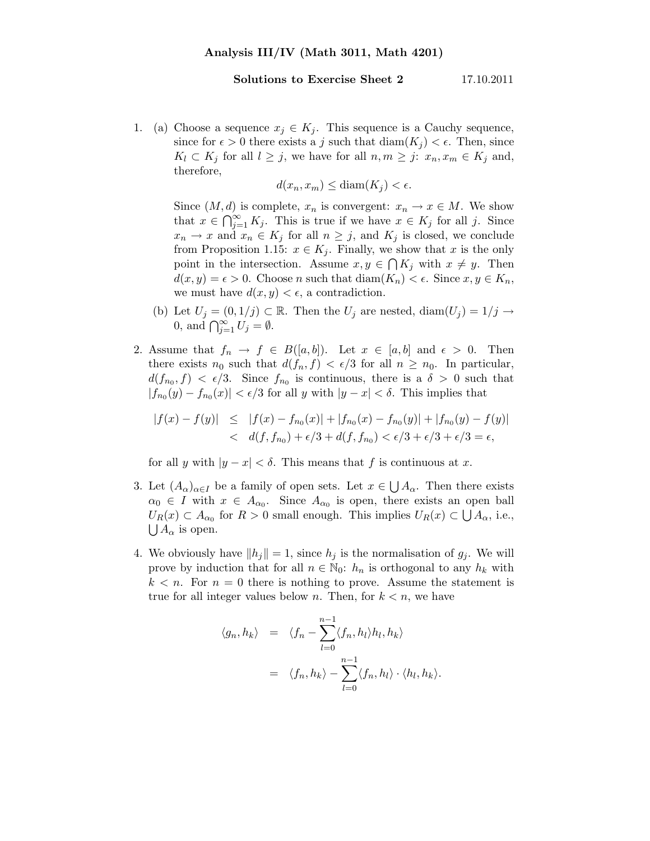## Solutions to Exercise Sheet 2 17.10.2011

1. (a) Choose a sequence  $x_j \in K_j$ . This sequence is a Cauchy sequence, since for  $\epsilon > 0$  there exists a j such that  $\text{diam}(K_i) < \epsilon$ . Then, since  $K_l \subset K_j$  for all  $l \geq j$ , we have for all  $n, m \geq j$ :  $x_n, x_m \in K_j$  and, therefore,

$$
d(x_n, x_m) \le \text{diam}(K_j) < \epsilon.
$$

Since  $(M, d)$  is complete,  $x_n$  is convergent:  $x_n \to x \in M$ . We show that  $x \in \bigcap_{j=1}^{\infty} K_j$ . This is true if we have  $x \in K_j$  for all j. Since  $x_n \to x$  and  $x_n \in K_j$  for all  $n \geq j$ , and  $K_j$  is closed, we conclude from Proposition 1.15:  $x \in K_i$ . Finally, we show that x is the only point in the intersection. Assume  $x, y \in \bigcap K_j$  with  $x \neq y$ . Then  $d(x, y) = \epsilon > 0$ . Choose n such that  $\text{diam}(K_n) < \epsilon$ . Since  $x, y \in K_n$ , we must have  $d(x, y) < \epsilon$ , a contradiction.

- (b) Let  $U_j = (0, 1/j) \subset \mathbb{R}$ . Then the  $U_j$  are nested,  $\text{diam}(U_j) = 1/j \to \mathbb{R}$ 0, and  $\bigcap_{j=1}^{\infty} U_j = \emptyset$ .
- 2. Assume that  $f_n \to f \in B([a, b])$ . Let  $x \in [a, b]$  and  $\epsilon > 0$ . Then there exists  $n_0$  such that  $d(f_n, f) < \epsilon/3$  for all  $n \geq n_0$ . In particular,  $d(f_{n_0}, f) < \epsilon/3$ . Since  $f_{n_0}$  is continuous, there is a  $\delta > 0$  such that  $|f_{n_0}(y) - f_{n_0}(x)| < \epsilon/3$  for all y with  $|y - x| < \delta$ . This implies that

$$
|f(x) - f(y)| \le |f(x) - f_{n_0}(x)| + |f_{n_0}(x) - f_{n_0}(y)| + |f_{n_0}(y) - f(y)|
$$
  
< 
$$
d(f, f_{n_0}) + \epsilon/3 + d(f, f_{n_0}) < \epsilon/3 + \epsilon/3 + \epsilon/3 = \epsilon,
$$

for all y with  $|y-x| < \delta$ . This means that f is continuous at x.

- 3. Let  $(A_{\alpha})_{\alpha \in I}$  be a family of open sets. Let  $x \in \bigcup A_{\alpha}$ . Then there exists  $\alpha_0 \in I$  with  $x \in A_{\alpha_0}$ . Since  $A_{\alpha_0}$  is open, there exists an open ball  $U_R(x) \subset A_{\alpha_0}$  for  $R > 0$  small enough. This implies  $U_R(x) \subset \bigcup A_{\alpha}$ , i.e.,  $\bigcup A_{\alpha}$  is open.
- 4. We obviously have  $||h_j|| = 1$ , since  $h_j$  is the normalisation of  $g_j$ . We will prove by induction that for all  $n \in \mathbb{N}_0$ :  $h_n$  is orthogonal to any  $h_k$  with  $k < n$ . For  $n = 0$  there is nothing to prove. Assume the statement is true for all integer values below n. Then, for  $k < n$ , we have

$$
\langle g_n, h_k \rangle = \langle f_n - \sum_{l=0}^{n-1} \langle f_n, h_l \rangle h_l, h_k \rangle
$$
  
=  $\langle f_n, h_k \rangle - \sum_{l=0}^{n-1} \langle f_n, h_l \rangle \cdot \langle h_l, h_k \rangle.$